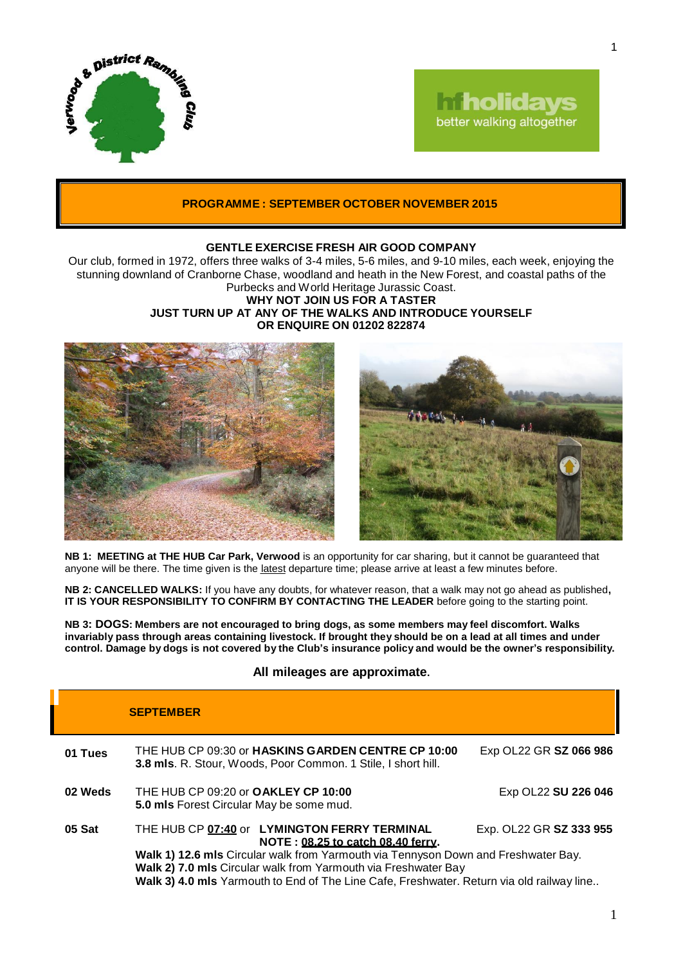

# **hiholidays** better walking altogether

### **PROGRAMME : SEPTEMBER OCTOBER NOVEMBER 2015**

### **GENTLE EXERCISE FRESH AIR GOOD COMPANY**

Our club, formed in 1972, offers three walks of 3-4 miles, 5-6 miles, and 9-10 miles, each week, enjoying the stunning downland of Cranborne Chase, woodland and heath in the New Forest, and coastal paths of the Purbecks and World Heritage Jurassic Coast.

## **WHY NOT JOIN US FOR A TASTER JUST TURN UP AT ANY OF THE WALKS AND INTRODUCE YOURSELF OR ENQUIRE ON 01202 822874**





**NB 1: MEETING at THE HUB Car Park, Verwood** is an opportunity for car sharing, but it cannot be guaranteed that anyone will be there. The time given is the latest departure time; please arrive at least a few minutes before.

**NB 2: CANCELLED WALKS:** If you have any doubts, for whatever reason, that a walk may not go ahead as published**, IT IS YOUR RESPONSIBILITY TO CONFIRM BY CONTACTING THE LEADER** before going to the starting point.

**NB 3: DOGS: Members are not encouraged to bring dogs, as some members may feel discomfort. Walks**  invariably pass through areas containing livestock. If brought they should be on a lead at all times and under control. Damage by dogs is not covered by the Club's insurance policy and would be the owner's responsibility.

### **All mileages are approximate.**

|         | <b>SEPTEMBER</b>                                                                                                                                                                                                                                                                                                                       |                         |  |
|---------|----------------------------------------------------------------------------------------------------------------------------------------------------------------------------------------------------------------------------------------------------------------------------------------------------------------------------------------|-------------------------|--|
| 01 Tues | THE HUB CP 09:30 or <b>HASKINS GARDEN CENTRE CP 10:00</b><br>3.8 mls. R. Stour, Woods, Poor Common. 1 Stile, I short hill.                                                                                                                                                                                                             | Exp OL22 GR SZ 066 986  |  |
| 02 Weds | THE HUB CP 09:20 or <b>OAKLEY CP 10:00</b><br><b>5.0 mls</b> Forest Circular May be some mud.                                                                                                                                                                                                                                          | Exp OL22 SU 226 046     |  |
| 05 Sat  | THE HUB CP 07:40 or LYMINGTON FERRY TERMINAL<br>NOTE: 08.25 to catch 08.40 ferry.<br>Walk 1) 12.6 mls Circular walk from Yarmouth via Tennyson Down and Freshwater Bay.<br>Walk 2) 7.0 mls Circular walk from Yarmouth via Freshwater Bay<br>Walk 3) 4.0 mls Yarmouth to End of The Line Cafe, Freshwater. Return via old railway line | Exp. OL22 GR SZ 333 955 |  |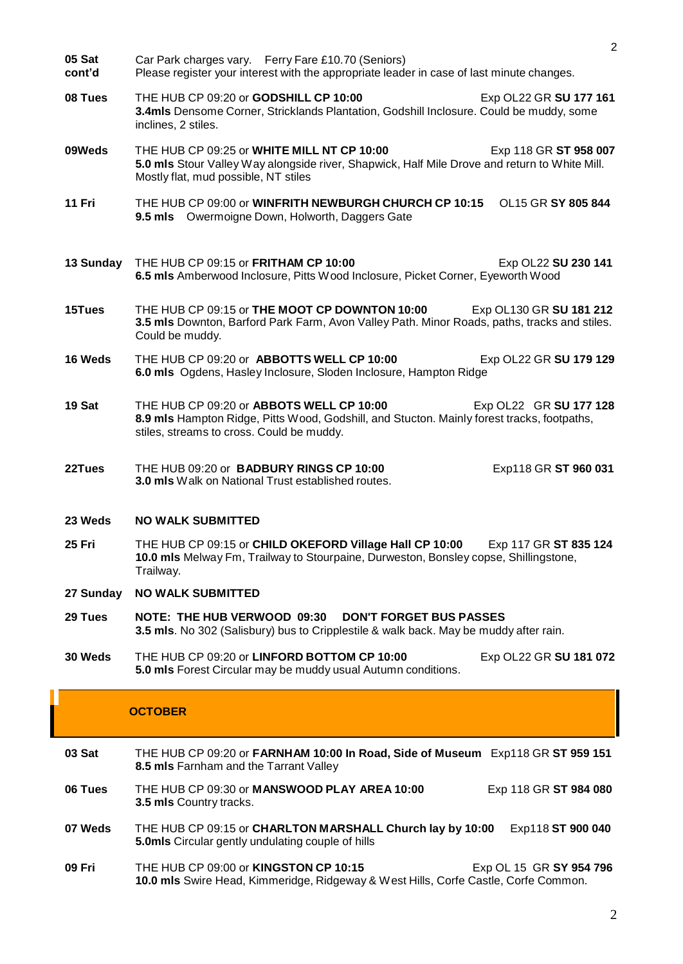|                  | 2                                                                                                                                                                                                             |  |
|------------------|---------------------------------------------------------------------------------------------------------------------------------------------------------------------------------------------------------------|--|
| 05 Sat<br>cont'd | Car Park charges vary. Ferry Fare £10.70 (Seniors)<br>Please register your interest with the appropriate leader in case of last minute changes.                                                               |  |
| 08 Tues          | THE HUB CP 09:20 or GODSHILL CP 10:00<br>Exp OL22 GR SU 177 161<br>3.4mls Densome Corner, Stricklands Plantation, Godshill Inclosure. Could be muddy, some<br>inclines, 2 stiles.                             |  |
| 09Weds           | THE HUB CP 09:25 or WHITE MILL NT CP 10:00<br>Exp 118 GR ST 958 007<br>5.0 mls Stour Valley Way alongside river, Shapwick, Half Mile Drove and return to White Mill.<br>Mostly flat, mud possible, NT stiles  |  |
| 11 Fri           | THE HUB CP 09:00 or WINFRITH NEWBURGH CHURCH CP 10:15<br>OL15 GR SY 805 844<br>9.5 mls Owermoigne Down, Holworth, Daggers Gate                                                                                |  |
| 13 Sunday        | THE HUB CP 09:15 or FRITHAM CP 10:00<br>Exp OL22 SU 230 141<br>6.5 mls Amberwood Inclosure, Pitts Wood Inclosure, Picket Corner, Eyeworth Wood                                                                |  |
| 15Tues           | THE HUB CP 09:15 or THE MOOT CP DOWNTON 10:00<br>Exp OL130 GR SU 181 212<br>3.5 mls Downton, Barford Park Farm, Avon Valley Path. Minor Roads, paths, tracks and stiles.<br>Could be muddy.                   |  |
| 16 Weds          | THE HUB CP 09:20 or ABBOTTS WELL CP 10:00<br>Exp OL22 GR SU 179 129<br>6.0 mls Ogdens, Hasley Inclosure, Sloden Inclosure, Hampton Ridge                                                                      |  |
| 19 Sat           | THE HUB CP 09:20 or ABBOTS WELL CP 10:00<br>Exp OL22 GR SU 177 128<br>8.9 mls Hampton Ridge, Pitts Wood, Godshill, and Stucton. Mainly forest tracks, footpaths,<br>stiles, streams to cross. Could be muddy. |  |
| 22Tues           | THE HUB 09:20 or <b>BADBURY RINGS CP 10:00</b><br>Exp118 GR ST 960 031<br>3.0 mls Walk on National Trust established routes.                                                                                  |  |
| 23 Weds          | <b>NO WALK SUBMITTED</b>                                                                                                                                                                                      |  |
| <b>25 Fri</b>    | THE HUB CP 09:15 or CHILD OKEFORD Village Hall CP 10:00<br>Exp 117 GR ST 835 124<br>10.0 mls Melway Fm, Trailway to Stourpaine, Durweston, Bonsley copse, Shillingstone,<br>Trailway.                         |  |
| 27 Sunday        | <b>NO WALK SUBMITTED</b>                                                                                                                                                                                      |  |
| 29 Tues          | <b>NOTE: THE HUB VERWOOD 09:30</b><br><b>DON'T FORGET BUS PASSES</b><br>3.5 mls. No 302 (Salisbury) bus to Cripplestile & walk back. May be muddy after rain.                                                 |  |
| 30 Weds          | THE HUB CP 09:20 or LINFORD BOTTOM CP 10:00<br>Exp OL22 GR SU 181 072<br>5.0 mls Forest Circular may be muddy usual Autumn conditions.                                                                        |  |
|                  | <b>OCTOBER</b>                                                                                                                                                                                                |  |
| 03 Sat           | THE HUB CP 09:20 or FARNHAM 10:00 In Road, Side of Museum Exp118 GR ST 959 151<br>8.5 mls Farnham and the Tarrant Valley                                                                                      |  |
| 06 Tues          | THE HUB CP 09:30 or MANSWOOD PLAY AREA 10:00<br>Exp 118 GR ST 984 080<br>3.5 mls Country tracks.                                                                                                              |  |
| 07 Weds          | THE HUB CP 09:15 or CHARLTON MARSHALL Church lay by 10:00<br>Exp118 ST 900 040<br>5.0mls Circular gently undulating couple of hills                                                                           |  |

**09 Fri** THE HUB CP 09:00 or **KINGSTON CP 10:15** Exp OL 15 GR **SY 954 796 10.0 mls** Swire Head, Kimmeridge, Ridgeway & West Hills, Corfe Castle, Corfe Common.

I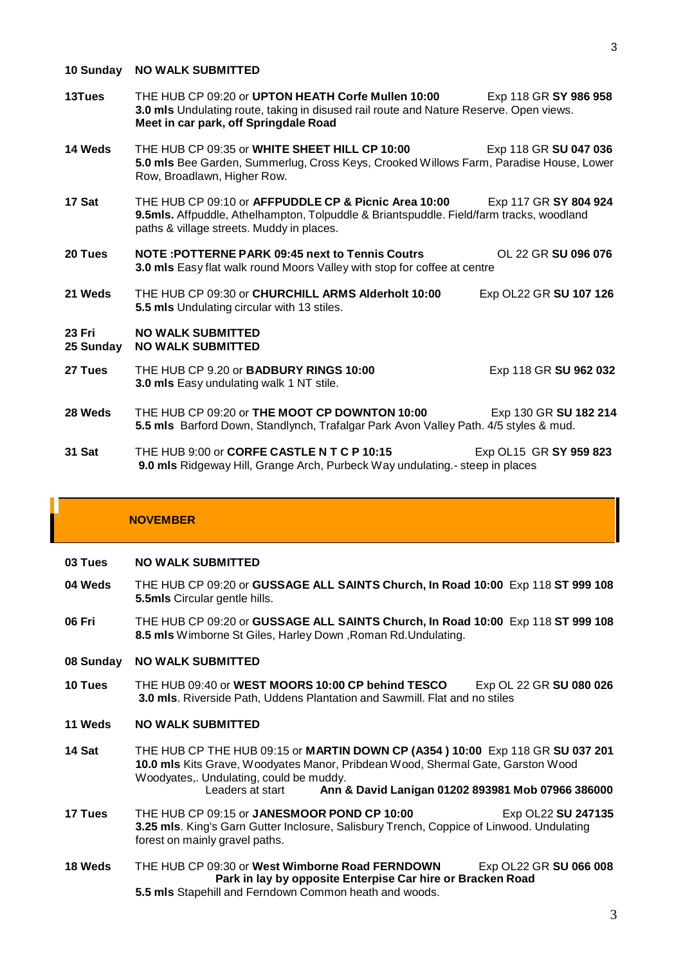### **10 Sunday NO WALK SUBMITTED**

- **13Tues** THE HUB CP 09:20 or **UPTON HEATH Corfe Mullen 10:00** Exp 118 GR **SY 986 958 3.0 mls** Undulating route, taking in disused rail route and Nature Reserve. Open views. **Meet in car park, off Springdale Road**
- **14 Weds** THE HUB CP 09:35 or **WHITE SHEET HILL CP 10:00** Exp 118 GR **SU 047 036 5.0 mls** Bee Garden, Summerlug, Cross Keys, Crooked Willows Farm, Paradise House, Lower Row, Broadlawn, Higher Row.
- **17 Sat** THE HUB CP 09:10 or **AFFPUDDLE CP & Picnic Area 10:00** Exp 117 GR **SY 804 924 9.5mls.** Affpuddle, Athelhampton, Tolpuddle & Briantspuddle. Field/farm tracks, woodland paths & village streets. Muddy in places.
- **20 Tues NOTE :POTTERNE PARK 09:45 next to Tennis Coutrs** OL 22 GR **SU 096 076 3.0 mls** Easy flat walk round Moors Valley with stop for coffee at centre
- **21 Weds** THE HUB CP 09:30 or **CHURCHILL ARMS Alderholt 10:00** Exp OL22 GR **SU 107 126 5.5 mls** Undulating circular with 13 stiles.

# **23 Fri NO WALK SUBMITTED**<br>**25 Sunday NO WALK SUBMITTED**

# **25 Sunday NO WALK SUBMITTED**

- **27 Tues** THE HUB CP 9.20 or **BADBURY RINGS 10:00** Exp 118 GR **SU 962 032 3.0 mls** Easy undulating walk 1 NT stile.
- **28 Weds** THE HUB CP 09:20 or **THE MOOT CP DOWNTON 10:00** Exp 130 GR **SU 182 214 5.5 mls** Barford Down, Standlynch, Trafalgar Park Avon Valley Path. 4/5 styles & mud.
- **31 Sat** THE HUB 9:00 or **CORFE CASTLE N T C P 10:15** Exp OL15 GR **SY 959 823 9.0 mls** Ridgeway Hill, Grange Arch, Purbeck Way undulating.- steep in places

### **NOVEMBER**

### **03 Tues NO WALK SUBMITTED**

- **04 Weds** THE HUB CP 09:20 or **GUSSAGE ALL SAINTS Church, In Road 10:00** Exp 118 **ST 999 108 5.5mls** Circular gentle hills.
- **06 Fri** THE HUB CP 09:20 or **GUSSAGE ALL SAINTS Church, In Road 10:00** Exp 118 **ST 999 108 8.5 mls** Wimborne St Giles, Harley Down ,Roman Rd.Undulating.

### **08 Sunday NO WALK SUBMITTED**

**10 Tues** THE HUB 09:40 or **WEST MOORS 10:00 CP behind TESCO** Exp OL 22 GR **SU 080 026 3.0 mls**. Riverside Path, Uddens Plantation and Sawmill. Flat and no stiles

### **11 Weds NO WALK SUBMITTED**

- **14 Sat** THE HUB CP THE HUB 09:15 or **MARTIN DOWN CP (A354 ) 10:00** Exp 118 GR **SU 037 201 10.0 mls** Kits Grave, Woodyates Manor, Pribdean Wood, Shermal Gate, Garston Wood Woodyates,. Undulating, could be muddy. Leaders at start **Ann & David Lanigan 01202 893981 Mob 07966 386000**
- **17 Tues** THE HUB CP 09:15 or **JANESMOOR POND CP 10:00** Exp OL22 **SU 247135 3.25 mls**. King's Garn Gutter Inclosure, Salisbury Trench, Coppice of Linwood. Undulating forest on mainly gravel paths.
- **18 Weds** THE HUB CP 09:30 or **West Wimborne Road FERNDOWN** Exp OL22 GR **SU 066 008 Park in lay by opposite Enterpise Car hire or Bracken Road 5.5 mls** Stapehill and Ferndown Common heath and woods.